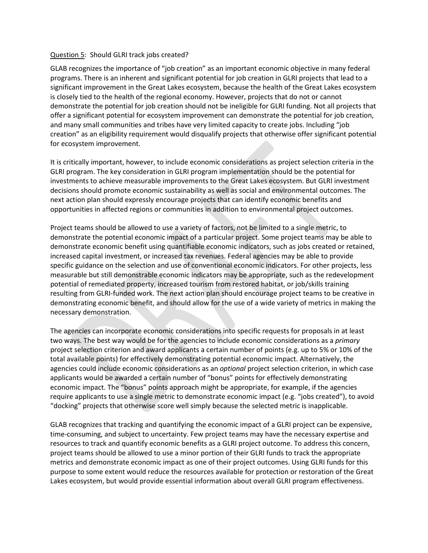## Question 5: Should GLRI track jobs created?

GLAB recognizes the importance of "job creation" as an important economic objective in many federal programs. There is an inherent and significant potential for job creation in GLRI projects that lead to a significant improvement in the Great Lakes ecosystem, because the health of the Great Lakes ecosystem is closely tied to the health of the regional economy. However, projects that do not or cannot demonstrate the potential for job creation should not be ineligible for GLRI funding. Not all projects that offer a significant potential for ecosystem improvement can demonstrate the potential for job creation, and many small communities and tribes have very limited capacity to create jobs. Including "job creation" as an eligibility requirement would disqualify projects that otherwise offer significant potential for ecosystem improvement.

It is critically important, however, to include economic considerations as project selection criteria in the GLRI program. The key consideration in GLRI program implementation should be the potential for investments to achieve measurable improvements to the Great Lakes ecosystem. But GLRI investment decisions should promote economic sustainability as well as social and environmental outcomes. The next action plan should expressly encourage projects that can identify economic benefits and opportunities in affected regions or communities in addition to environmental project outcomes.

Project teams should be allowed to use a variety of factors, not be limited to a single metric, to demonstrate the potential economic impact of a particular project. Some project teams may be able to demonstrate economic benefit using quantifiable economic indicators, such as jobs created or retained, increased capital investment, or increased tax revenues. Federal agencies may be able to provide specific guidance on the selection and use of conventional economic indicators. For other projects, less measurable but still demonstrable economic indicators may be appropriate, such as the redevelopment potential of remediated property, increased tourism from restored habitat, or job/skills training resulting from GLRI-funded work. The next action plan should encourage project teams to be creative in demonstrating economic benefit, and should allow for the use of a wide variety of metrics in making the necessary demonstration.

The agencies can incorporate economic considerations into specific requests for proposals in at least two ways. The best way would be for the agencies to include economic considerations as a *primary*  project selection criterion and award applicants a certain number of points (e.g. up to 5% or 10% of the total available points) for effectively demonstrating potential economic impact. Alternatively, the agencies could include economic considerations as an *optional* project selection criterion, in which case applicants would be awarded a certain number of "bonus" points for effectively demonstrating economic impact. The "bonus" points approach might be appropriate, for example, if the agencies require applicants to use a single metric to demonstrate economic impact (e.g. "jobs created"), to avoid "docking" projects that otherwise score well simply because the selected metric is inapplicable.

GLAB recognizes that tracking and quantifying the economic impact of a GLRI project can be expensive, time-consuming, and subject to uncertainty. Few project teams may have the necessary expertise and resources to track and quantify economic benefits as a GLRI project outcome. To address this concern, project teams should be allowed to use a minor portion of their GLRI funds to track the appropriate metrics and demonstrate economic impact as one of their project outcomes. Using GLRI funds for this purpose to some extent would reduce the resources available for protection or restoration of the Great Lakes ecosystem, but would provide essential information about overall GLRI program effectiveness.